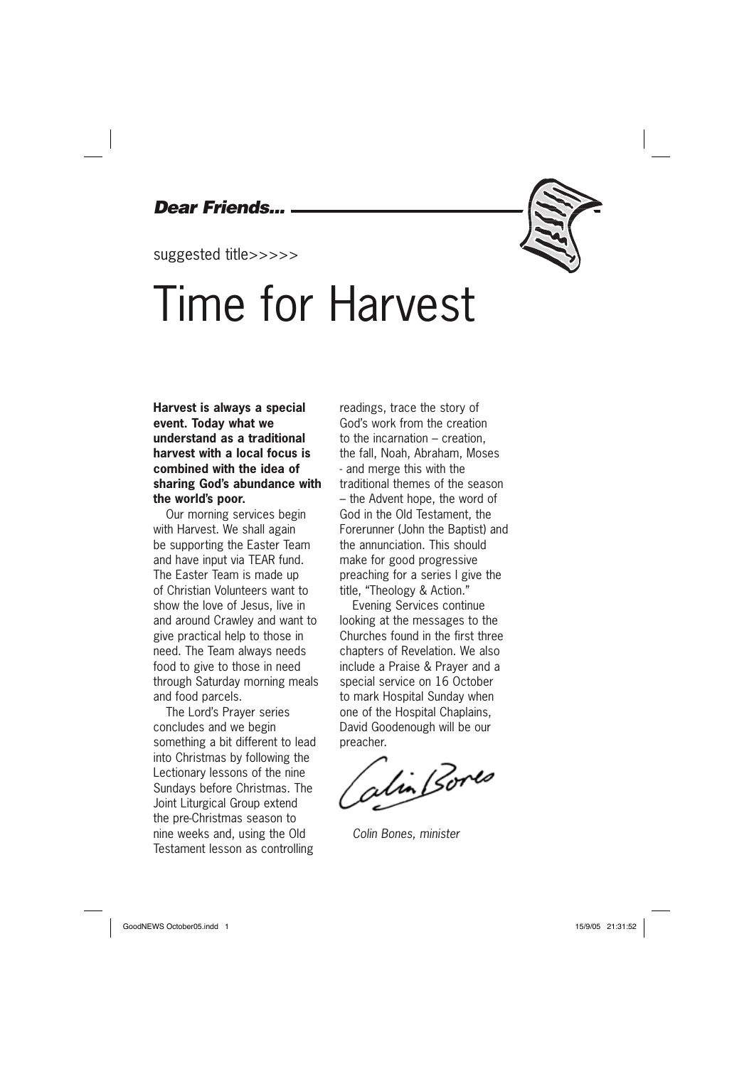### *Dear Friends...*

suggested title>>>>>

## Time for Harvest

### **Harvest is always a special event. Today what we understand as a traditional harvest with a local focus is combined with the idea of sharing God's abundance with the world's poor.**

Our morning services begin with Harvest. We shall again be supporting the Easter Team and have input via TEAR fund. The Easter Team is made up of Christian Volunteers want to show the love of Jesus, live in and around Crawley and want to give practical help to those in need. The Team always needs food to give to those in need through Saturday morning meals and food parcels.

The Lord's Prayer series concludes and we begin something a bit different to lead into Christmas by following the Lectionary lessons of the nine Sundays before Christmas. The Joint Liturgical Group extend the pre-Christmas season to nine weeks and, using the Old Testament lesson as controlling

readings, trace the story of God's work from the creation to the incarnation – creation, the fall, Noah, Abraham, Moses - and merge this with the traditional themes of the season – the Advent hope, the word of God in the Old Testament, the Forerunner (John the Baptist) and the annunciation. This should make for good progressive preaching for a series I give the title, "Theology & Action."

Evening Services continue looking at the messages to the Churches found in the first three chapters of Revelation. We also include a Praise & Prayer and a special service on 16 October to mark Hospital Sunday when one of the Hospital Chaplains, David Goodenough will be our preacher.

stin Bores

*Colin Bones, minister*

GoodNEWS October05.indd 1 of the control of the control of the control of the control of the control of the control of the control of the control of the control of the control of the control of the control of the control o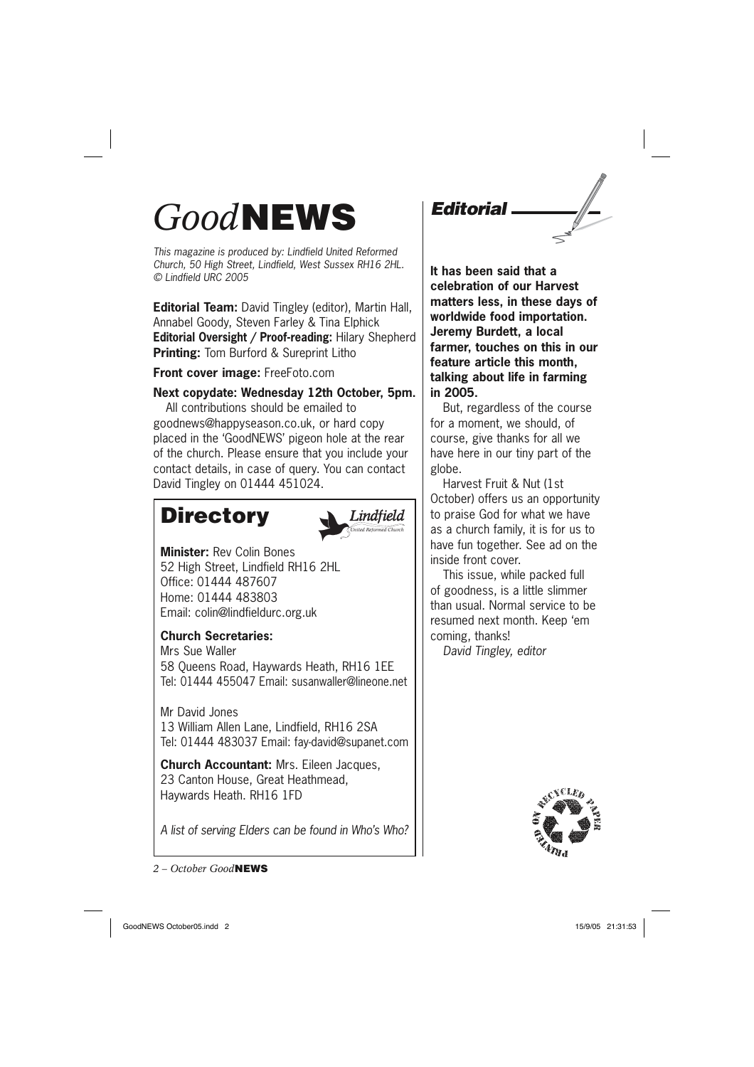### *Good***NEWS**

*This magazine is produced by: Lindfield United Reformed Church, 50 High Street, Lindfield, West Sussex RH16 2HL. © Lindfield URC 2005*

**Editorial Team:** David Tingley (editor), Martin Hall, Annabel Goody, Steven Farley & Tina Elphick **Editorial Oversight / Proof-reading:** Hilary Shepherd **Printing:** Tom Burford & Sureprint Litho

**Front cover image:** FreeFoto.com

### **Next copydate: Wednesday 12th October, 5pm.**

All contributions should be emailed to goodnews@happyseason.co.uk, or hard copy placed in the 'GoodNEWS' pigeon hole at the rear of the church. Please ensure that you include your contact details, in case of query. You can contact David Tingley on 01444 451024.

### **Directory**



**Minister:** Rev Colin Bones 52 High Street, Lindfield RH16 2HL Office: 01444 487607 Home: 01444 483803 Email: colin@lindfieldurc.org.uk

### **Church Secretaries:**

Mrs Sue Waller 58 Queens Road, Haywards Heath, RH16 1EE Tel: 01444 455047 Email: susanwaller@lineone.net

Mr David Jones 13 William Allen Lane, Lindfield, RH16 2SA Tel: 01444 483037 Email: fay-david@supanet.com

**Church Accountant:** Mrs. Eileen Jacques, 23 Canton House, Great Heathmead, Haywards Heath. RH16 1FD

*A list of serving Elders can be found in Who's Who?*

*2 – October Good***NEWS**

*Editorial*

**It has been said that a celebration of our Harvest matters less, in these days of worldwide food importation. Jeremy Burdett, a local farmer, touches on this in our feature article this month, talking about life in farming in 2005.** 

But, regardless of the course for a moment, we should, of course, give thanks for all we have here in our tiny part of the globe.

Harvest Fruit & Nut (1st October) offers us an opportunity to praise God for what we have as a church family, it is for us to have fun together. See ad on the inside front cover.

This issue, while packed full of goodness, is a little slimmer than usual. Normal service to be resumed next month. Keep 'em coming, thanks! *David Tingley, editor*





GoodNEWS October05.indd 2 oodNEWS 15/9/05 21:31:53 5/9/05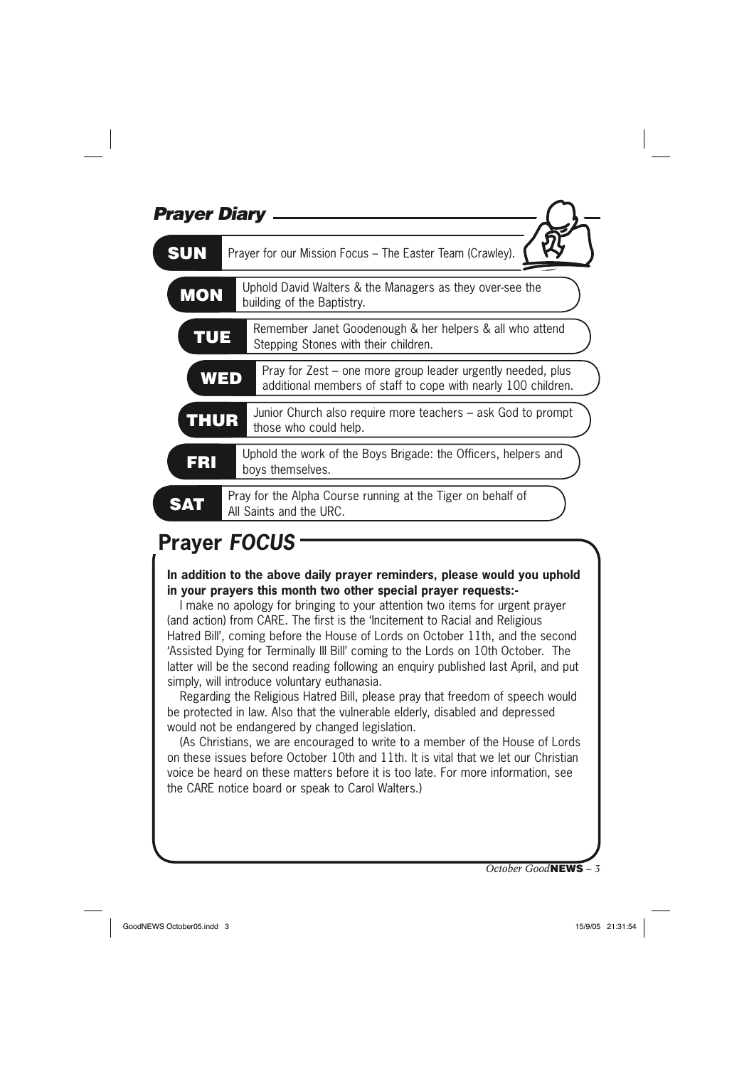| <b>Prayer Diary</b> |                                                                                                                                     |
|---------------------|-------------------------------------------------------------------------------------------------------------------------------------|
| <b>SUN</b>          | Prayer for our Mission Focus - The Easter Team (Crawley).                                                                           |
| <b>MON</b>          | Uphold David Walters & the Managers as they over-see the<br>building of the Baptistry.                                              |
| TUE                 | Remember Janet Goodenough & her helpers & all who attend<br>Stepping Stones with their children.                                    |
|                     | Pray for Zest – one more group leader urgently needed, plus<br>WED<br>additional members of staff to cope with nearly 100 children. |
| <b>THUR</b>         | Junior Church also require more teachers – ask God to prompt<br>those who could help.                                               |
| <b>FRI</b>          | Uphold the work of the Boys Brigade: the Officers, helpers and<br>boys themselves.                                                  |
|                     | Pray for the Alpha Course running at the Tiger on behalf of<br>All Saints and the URC.                                              |

### **Prayer** *FOCUS*

**In addition to the above daily prayer reminders, please would you uphold in your prayers this month two other special prayer requests:-**

I make no apology for bringing to your attention two items for urgent prayer (and action) from CARE. The first is the 'Incitement to Racial and Religious Hatred Bill', coming before the House of Lords on October 11th, and the second 'Assisted Dying for Terminally Ill Bill' coming to the Lords on 10th October. The latter will be the second reading following an enquiry published last April, and put simply, will introduce voluntary euthanasia.

Regarding the Religious Hatred Bill, please pray that freedom of speech would be protected in law. Also that the vulnerable elderly, disabled and depressed would not be endangered by changed legislation.

(As Christians, we are encouraged to write to a member of the House of Lords on these issues before October 10th and 11th. It is vital that we let our Christian voice be heard on these matters before it is too late. For more information, see the CARE notice board or speak to Carol Walters.)

*October Good***NEWS** *– 3*

GoodNEWS October05.indd 3 3 compared 3 of the state of the state of the state of the state of the state of the state of the state of the state of the state of the state of the state of the state of the state of the state o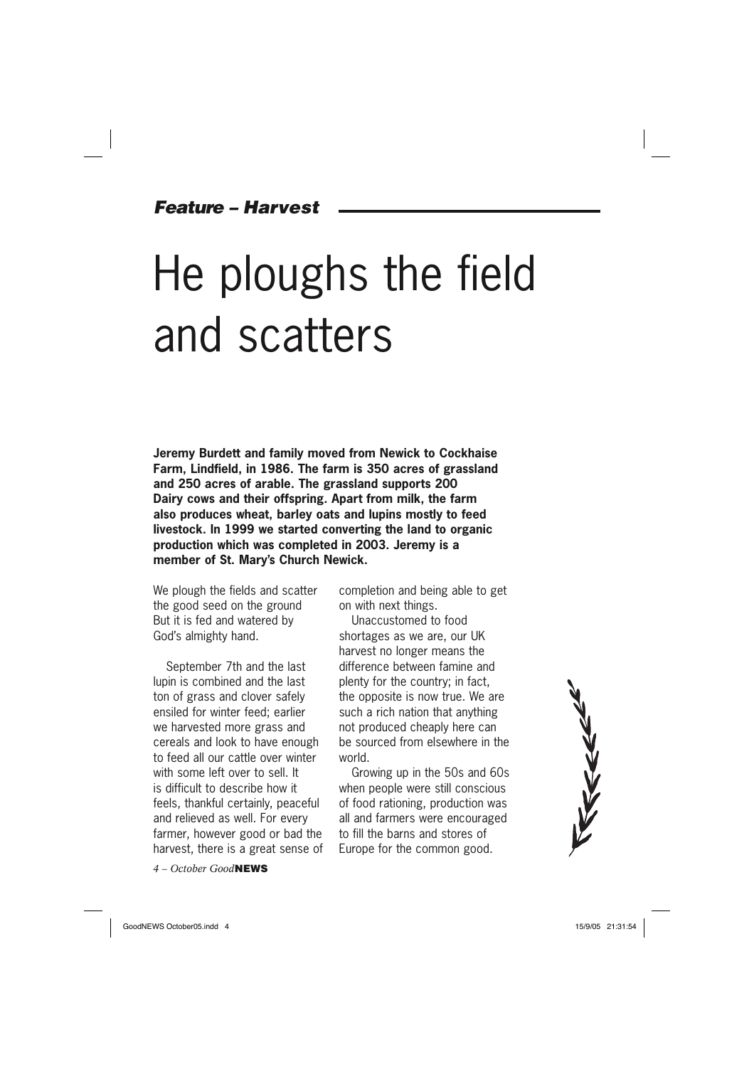### *Feature – Harvest*

# He ploughs the field and scatters

**Jeremy Burdett and family moved from Newick to Cockhaise Farm, Lindfield, in 1986. The farm is 350 acres of grassland and 250 acres of arable. The grassland supports 200 Dairy cows and their offspring. Apart from milk, the farm also produces wheat, barley oats and lupins mostly to feed livestock. In 1999 we started converting the land to organic production which was completed in 2003. Jeremy is a member of St. Mary's Church Newick.**

We plough the fields and scatter the good seed on the ground But it is fed and watered by God's almighty hand.

September 7th and the last lupin is combined and the last ton of grass and clover safely ensiled for winter feed; earlier we harvested more grass and cereals and look to have enough to feed all our cattle over winter with some left over to sell. It is difficult to describe how it feels, thankful certainly, peaceful and relieved as well. For every farmer, however good or bad the harvest, there is a great sense of

*4 – October Good***NEWS**

completion and being able to get on with next things.

Unaccustomed to food shortages as we are, our UK harvest no longer means the difference between famine and plenty for the country; in fact, the opposite is now true. We are such a rich nation that anything not produced cheaply here can be sourced from elsewhere in the world.

Growing up in the 50s and 60s when people were still conscious of food rationing, production was all and farmers were encouraged to fill the barns and stores of Europe for the common good.



GoodNEWS October05.indd 4 and 5/9/05 21:31:54 5/9/05 21:31:54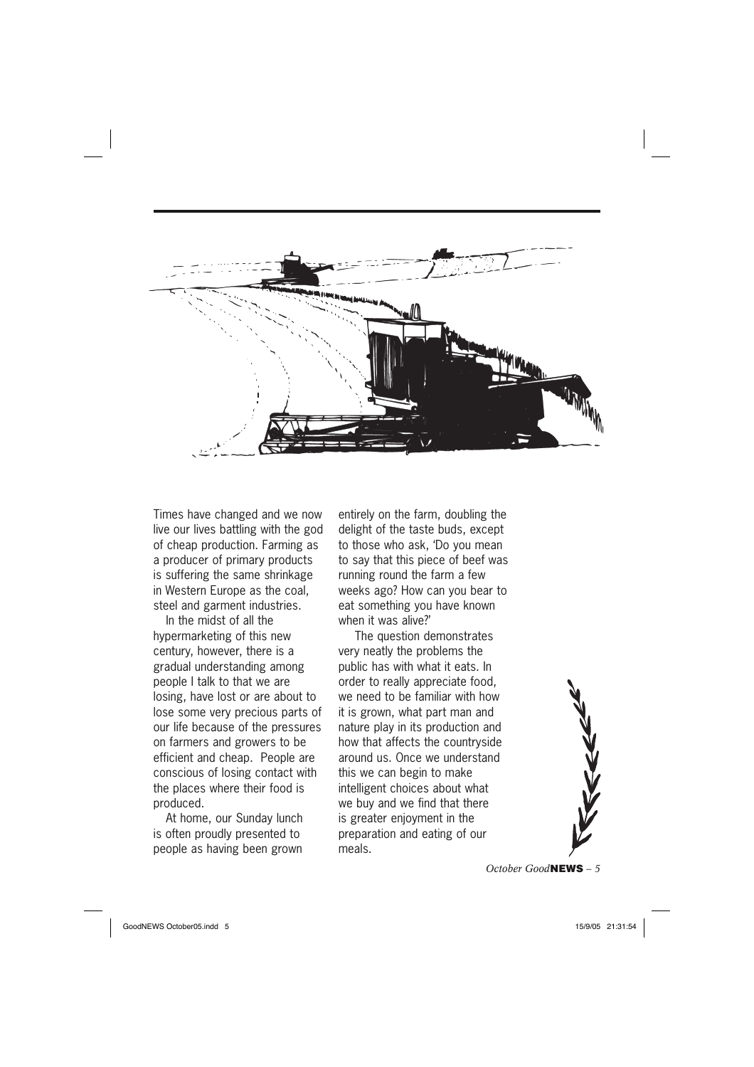

Times have changed and we now live our lives battling with the god of cheap production. Farming as a producer of primary products is suffering the same shrinkage in Western Europe as the coal, steel and garment industries.

In the midst of all the hypermarketing of this new century, however, there is a gradual understanding among people I talk to that we are losing, have lost or are about to lose some very precious parts of our life because of the pressures on farmers and growers to be efficient and cheap. People are conscious of losing contact with the places where their food is produced.

At home, our Sunday lunch is often proudly presented to people as having been grown

entirely on the farm, doubling the delight of the taste buds, except to those who ask, 'Do you mean to say that this piece of beef was running round the farm a few weeks ago? How can you bear to eat something you have known when it was alive?'

 The question demonstrates very neatly the problems the public has with what it eats. In order to really appreciate food, we need to be familiar with how it is grown, what part man and nature play in its production and how that affects the countryside around us. Once we understand this we can begin to make intelligent choices about what we buy and we find that there is greater enjoyment in the preparation and eating of our meals.



*October Good***NEWS** *– 5*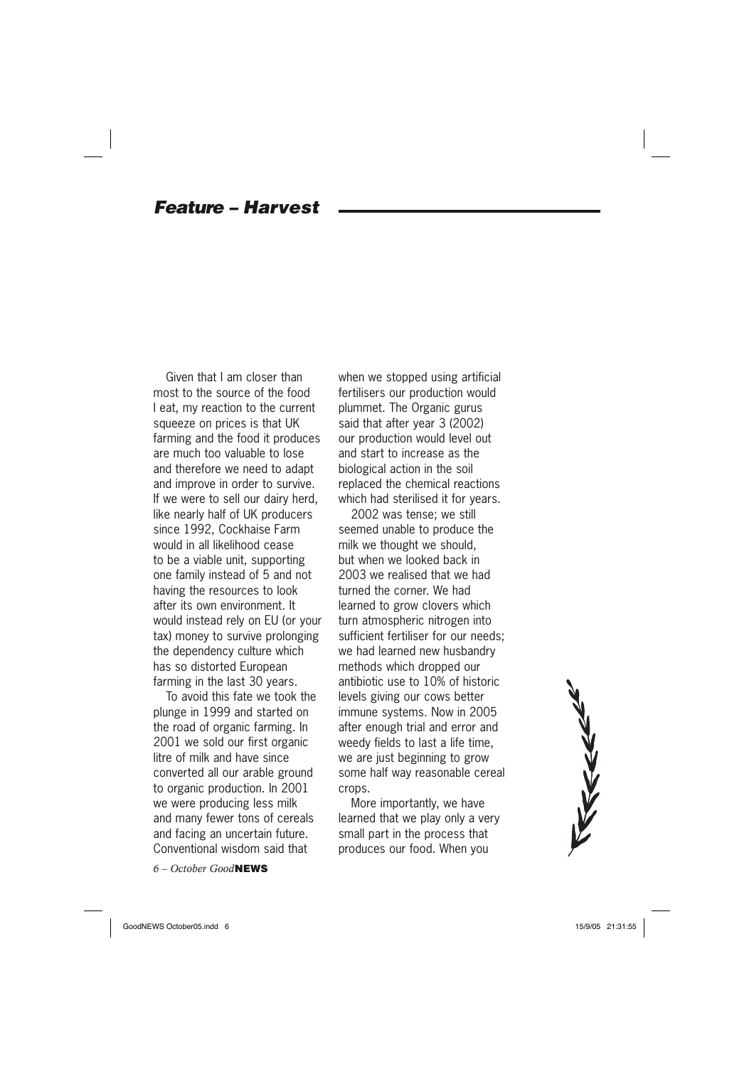### *Feature – Harvest*

Given that I am closer than most to the source of the food I eat, my reaction to the current squeeze on prices is that UK farming and the food it produces are much too valuable to lose and therefore we need to adapt and improve in order to survive. If we were to sell our dairy herd, like nearly half of UK producers since 1992, Cockhaise Farm would in all likelihood cease to be a viable unit, supporting one family instead of 5 and not having the resources to look after its own environment. It would instead rely on EU (or your tax) money to survive prolonging the dependency culture which has so distorted European farming in the last 30 years.

To avoid this fate we took the plunge in 1999 and started on the road of organic farming. In 2001 we sold our first organic litre of milk and have since converted all our arable ground to organic production. In 2001 we were producing less milk and many fewer tons of cereals and facing an uncertain future. Conventional wisdom said that

*6 – October Good***NEWS**

when we stopped using artificial fertilisers our production would plummet. The Organic gurus said that after year 3 (2002) our production would level out and start to increase as the biological action in the soil replaced the chemical reactions which had sterilised it for years.

2002 was tense; we still seemed unable to produce the milk we thought we should, but when we looked back in 2003 we realised that we had turned the corner. We had learned to grow clovers which turn atmospheric nitrogen into sufficient fertiliser for our needs; we had learned new husbandry methods which dropped our antibiotic use to 10% of historic levels giving our cows better immune systems. Now in 2005 after enough trial and error and weedy fields to last a life time, we are just beginning to grow some half way reasonable cereal crops.

More importantly, we have learned that we play only a very small part in the process that produces our food. When you



GoodNEWS October05.indd 6 oodNEWS 15/9/05 21:31:55 5/9/05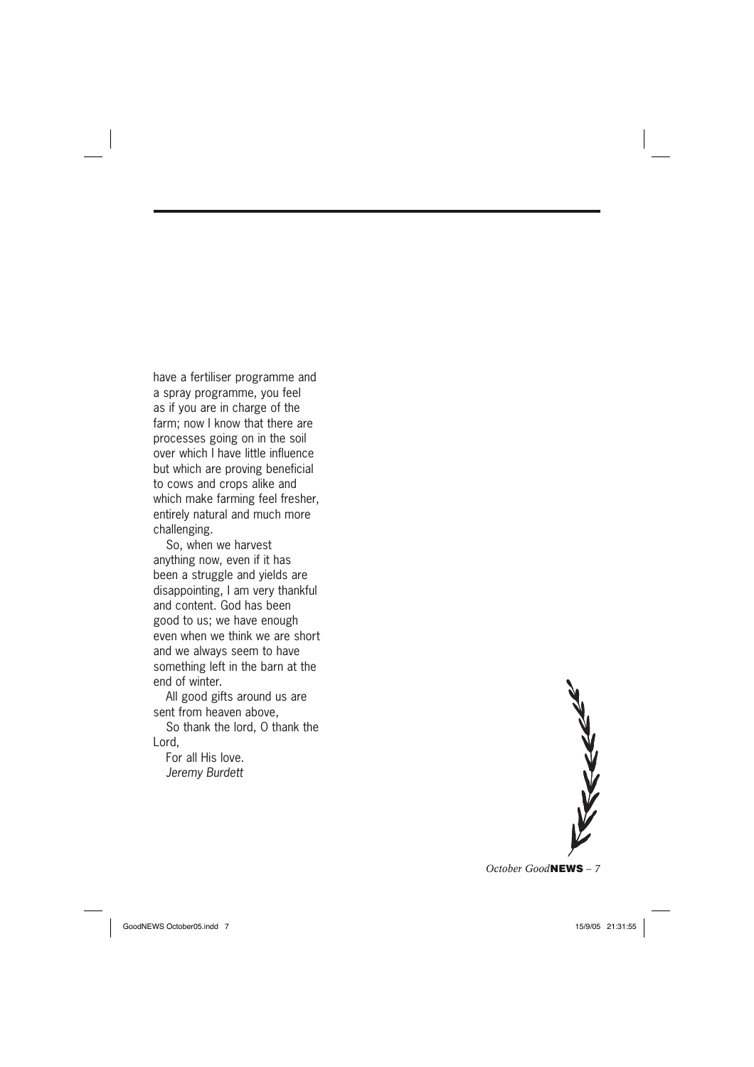have a fertiliser programme and a spray programme, you feel as if you are in charge of the farm; now I know that there are processes going on in the soil over which I have little influence but which are proving beneficial to cows and crops alike and which make farming feel fresher, entirely natural and much more challenging.

So, when we harvest anything now, even if it has been a struggle and yields are disappointing, I am very thankful and content. God has been good to us; we have enough even when we think we are short and we always seem to have something left in the barn at the end of winter.

All good gifts around us are sent from heaven above,

So thank the lord, O thank the Lord,

For all His love. *Jeremy Burdett*

REEEE *October Good***NEWS** *– 7*

GoodNEWS October05.indd 7 and 7 of 15/9/05 21:31:55 5/9/05 21:31:55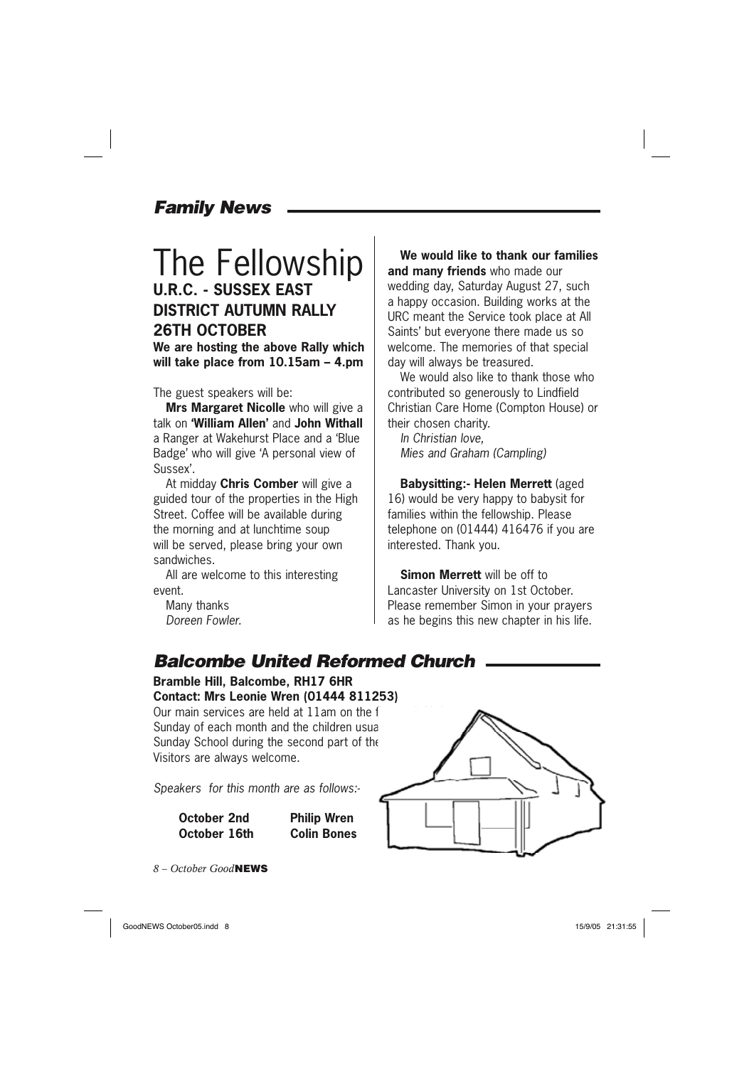### *Family News*

### The Fellowship **U.R.C. - SUSSEX EAST DISTRICT AUTUMN RALLY 26TH OCTOBER We are hosting the above Rally which**

**will take place from 10.15am – 4.pm**

The guest speakers will be:

**Mrs Margaret Nicolle** who will give a talk on **'William Allen'** and **John Withall** a Ranger at Wakehurst Place and a 'Blue Badge' who will give 'A personal view of Sussex'.

At midday **Chris Comber** will give a guided tour of the properties in the High Street. Coffee will be available during the morning and at lunchtime soup will be served, please bring your own sandwiches.

All are welcome to this interesting event.

Many thanks *Doreen Fowler.*

**We would like to thank our families and many friends** who made our wedding day, Saturday August 27, such a happy occasion. Building works at the URC meant the Service took place at All Saints' but everyone there made us so welcome. The memories of that special day will always be treasured.

We would also like to thank those who contributed so generously to Lindfield Christian Care Home (Compton House) or their chosen charity.

*In Christian love, Mies and Graham (Campling)*

**Babysitting:- Helen Merrett** (aged 16) would be very happy to babysit for families within the fellowship. Please telephone on (01444) 416476 if you are interested. Thank you.

**Simon Merrett** will be off to Lancaster University on 1st October. Please remember Simon in your prayers as he begins this new chapter in his life.

### *Balcombe United Reformed Church*

**Bramble Hill, Balcombe, RH17 6HR Contact: Mrs Leonie Wren (01444 811253)** Our main services are held at  $11$ am on the f Sunday of each month and the children usual Sunday School during the second part of the Visitors are always welcome.

*Speakers for this month are as follows:-*

| October 2nd  | <b>Philip Wren</b> |
|--------------|--------------------|
| October 16th | <b>Colin Bones</b> |

*8 – October Good***NEWS**



GoodNEWS October05.indd 8 oodNEWS 15/9/05 21:31:55 5/9/05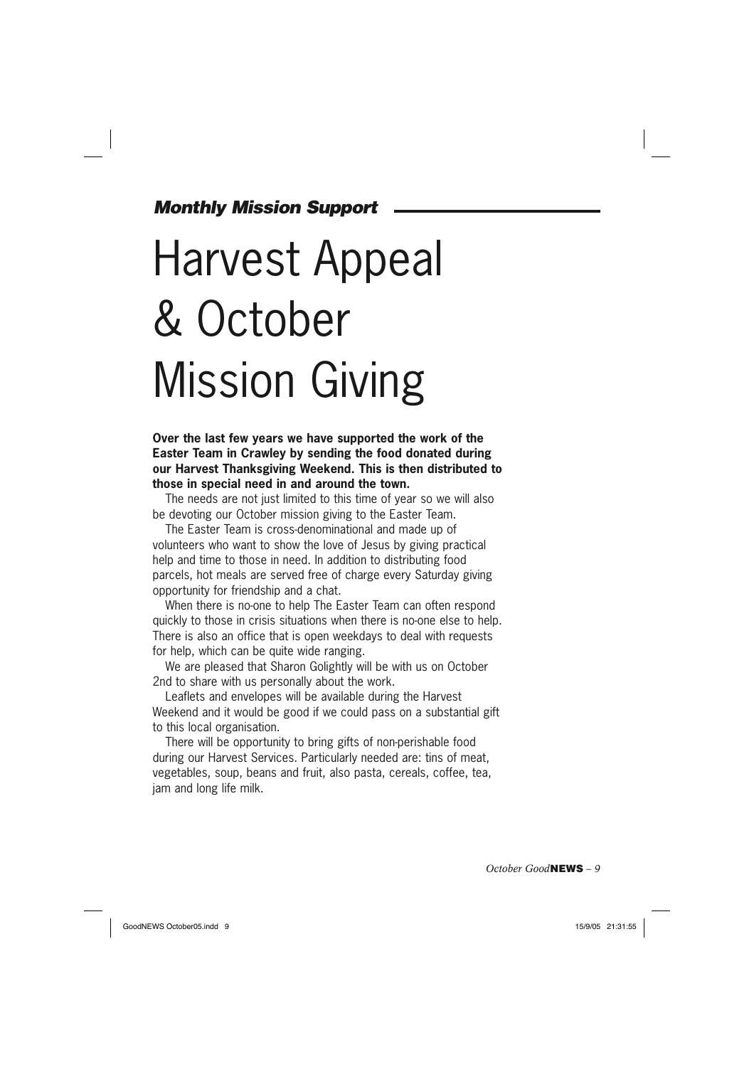### *Monthly Mission Support*

# Harvest Appeal & October Mission Giving

**Over the last few years we have supported the work of the Easter Team in Crawley by sending the food donated during our Harvest Thanksgiving Weekend. This is then distributed to those in special need in and around the town.** 

The needs are not just limited to this time of year so we will also be devoting our October mission giving to the Easter Team.

The Easter Team is cross-denominational and made up of volunteers who want to show the love of Jesus by giving practical help and time to those in need. In addition to distributing food parcels, hot meals are served free of charge every Saturday giving opportunity for friendship and a chat.

When there is no-one to help The Easter Team can often respond quickly to those in crisis situations when there is no-one else to help. There is also an office that is open weekdays to deal with requests for help, which can be quite wide ranging.

We are pleased that Sharon Golightly will be with us on October 2nd to share with us personally about the work.

Leaflets and envelopes will be available during the Harvest Weekend and it would be good if we could pass on a substantial gift to this local organisation.

There will be opportunity to bring gifts of non-perishable food during our Harvest Services. Particularly needed are: tins of meat, vegetables, soup, beans and fruit, also pasta, cereals, coffee, tea, jam and long life milk.

*October Good***NEWS** *– 9*

GoodNEWS October05.indd 9 oodNEWS 15/9/05 21:31:55 5/9/05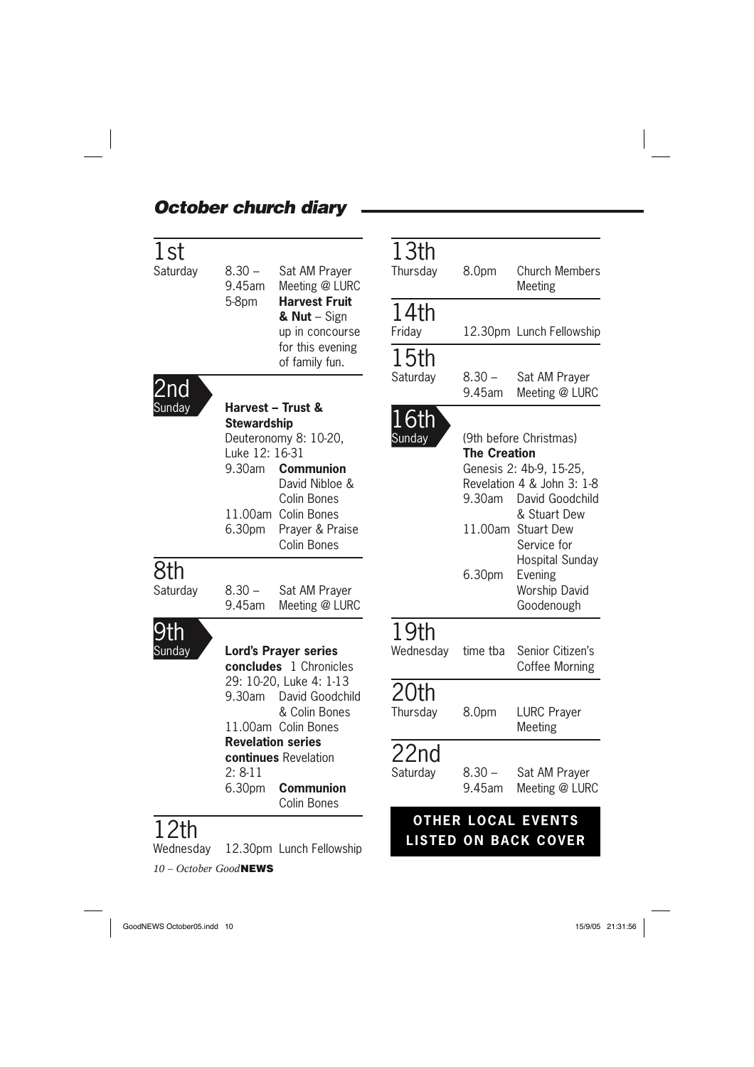### *October church diary*

 $\Box$ 

| 1st<br>Saturday   | $8.30 -$<br>9.45am                                       | Sat AM Prayer<br>Meeting @ LURC                                                                                                                          | 13th<br>Thursday       | 8.0pm                         | <b>Church Members</b><br>Meeting                                                                                                                        |
|-------------------|----------------------------------------------------------|----------------------------------------------------------------------------------------------------------------------------------------------------------|------------------------|-------------------------------|---------------------------------------------------------------------------------------------------------------------------------------------------------|
|                   | 5-8pm                                                    | <b>Harvest Fruit</b><br>& $Nut - Sign$<br>up in concourse<br>for this evening<br>of family fun.                                                          | 14th<br>Friday<br>15th |                               | 12.30pm Lunch Fellowship                                                                                                                                |
| 2nd               |                                                          |                                                                                                                                                          | Saturday               | $8.30 -$<br>9.45am            | Sat AM Prayer<br>Meeting @ LURC                                                                                                                         |
| Sunday            | <b>Stewardship</b><br>Luke 12: 16-31<br>9.30am<br>6.30pm | Harvest - Trust &<br>Deuteronomy 8: 10-20,<br><b>Communion</b><br>David Nibloe &<br>Colin Bones<br>11.00am Colin Bones<br>Prayer & Praise<br>Colin Bones | 16th<br>Sunday         | <b>The Creation</b><br>9.30am | (9th before Christmas)<br>Genesis 2: 4b-9, 15-25,<br>Revelation 4 & John 3: 1-8<br>David Goodchild<br>& Stuart Dew<br>11.00am Stuart Dew<br>Service for |
| 8th<br>Saturday   | $8.30 -$<br>9.45am                                       | Sat AM Prayer<br>Meeting @ LURC                                                                                                                          |                        | 6.30pm                        | Hospital Sunday<br>Evening<br>Worship David<br>Goodenough                                                                                               |
| 9th<br>Sunday     | <b>Lord's Prayer series</b><br>concludes 1 Chronicles    |                                                                                                                                                          | 19th<br>Wednesday      | time tba                      | Senior Citizen's<br>Coffee Morning                                                                                                                      |
|                   | 9.30am                                                   | 29: 10-20, Luke 4: 1-13<br>David Goodchild<br>& Colin Bones<br>11.00am Colin Bones                                                                       | 20th<br>Thursday       | 8.0pm                         | <b>LURC Prayer</b><br>Meeting                                                                                                                           |
|                   | $2: 8-11$<br>6.30pm                                      | <b>Revelation series</b><br>continues Revelation<br><b>Communion</b><br>Colin Bones                                                                      | 22nd<br>Saturday       | $8.30 -$<br>9.45am            | Sat AM Prayer<br>Meeting @ LURC                                                                                                                         |
| 12th<br>Wednesday |                                                          | 12.30pm Lunch Fellowship                                                                                                                                 |                        |                               | <b>OTHER LOCAL EVENTS</b><br><b>LISTED ON BACK COVER</b>                                                                                                |

*10 – October Good***NEWS**

GoodNEWS October05.indd 10  $\sqrt{3}$  15/9/05 21:31:56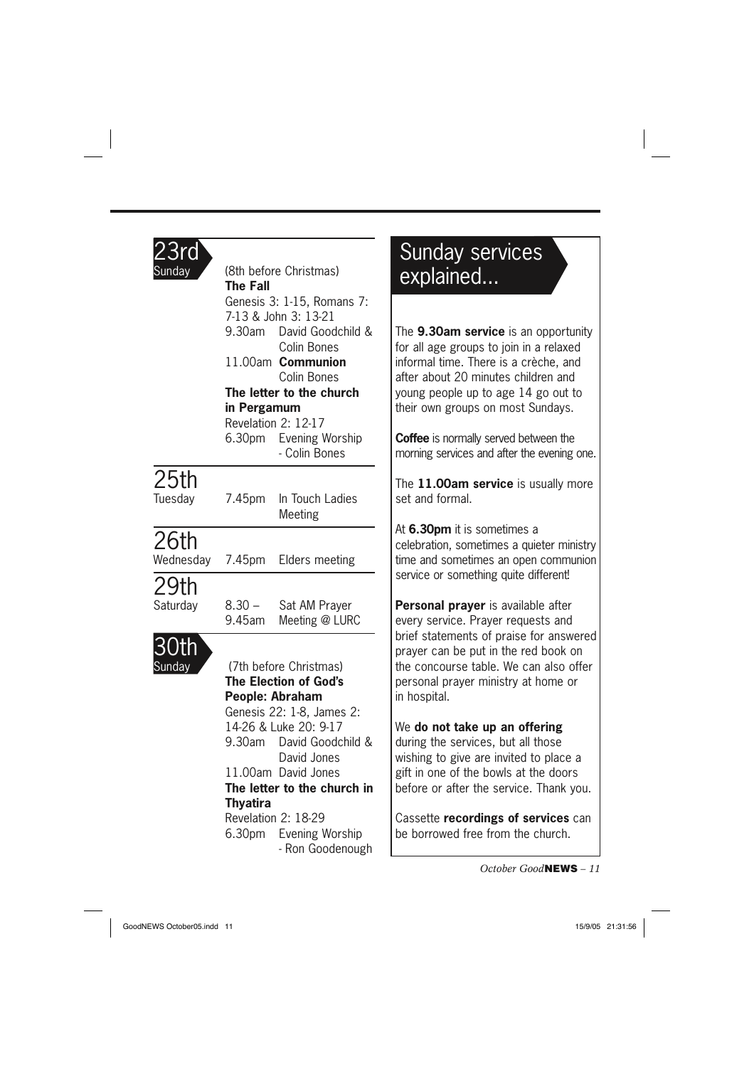### 23rd

| Sunday                           | (8th before Christmas)<br><b>The Fall</b>                                             |                                         |                              |  |  |
|----------------------------------|---------------------------------------------------------------------------------------|-----------------------------------------|------------------------------|--|--|
|                                  |                                                                                       | Genesis 3: 1-15, Romans 7:              |                              |  |  |
|                                  | 7-13 & John 3: 13-21                                                                  |                                         |                              |  |  |
|                                  | 9.30am                                                                                | David Goodchild &                       | Ī                            |  |  |
|                                  |                                                                                       | Colin Bones                             | f                            |  |  |
|                                  |                                                                                       | 11.00am Communion                       | İ                            |  |  |
|                                  |                                                                                       | Colin Bones                             | ć                            |  |  |
|                                  | $\overline{y}$<br>The letter to the church<br>t<br>in Pergamum<br>Revelation 2: 12-17 |                                         |                              |  |  |
|                                  |                                                                                       |                                         |                              |  |  |
|                                  |                                                                                       |                                         |                              |  |  |
|                                  |                                                                                       | 6.30pm Evening Worship<br>- Colin Bones | $\overline{\mathbf{C}}$<br>ľ |  |  |
| 25th                             |                                                                                       |                                         |                              |  |  |
| Tuesday                          | 7.45pm                                                                                | In Touch Ladies                         | ٦<br>s                       |  |  |
|                                  |                                                                                       | Meeting                                 | ł                            |  |  |
| 26th                             |                                                                                       |                                         | $\mathsf{C}$                 |  |  |
| Wednesday                        |                                                                                       | 7.45pm Elders meeting                   | t                            |  |  |
| 29th                             |                                                                                       |                                         | S                            |  |  |
| Saturday                         |                                                                                       | 8.30 - Sat AM Prayer                    | F                            |  |  |
|                                  | 9.45am                                                                                | Meeting @ LURC                          | $\epsilon$                   |  |  |
|                                  |                                                                                       |                                         | $\mathsf k$                  |  |  |
| Sunday<br>(7th before Christmas) |                                                                                       |                                         | $\mathfrak{r}$<br>t          |  |  |
|                                  |                                                                                       | <b>The Election of God's</b>            | $\mathfrak{r}$               |  |  |
|                                  | People: Abraham                                                                       |                                         |                              |  |  |
|                                  |                                                                                       | Genesis 22: 1-8, James 2:               |                              |  |  |
|                                  | 14-26 & Luke 20: 9-17                                                                 |                                         |                              |  |  |
|                                  |                                                                                       | 9.30am David Goodchild &                | $\mathsf{C}$                 |  |  |
|                                  |                                                                                       | David Jones                             | V                            |  |  |
|                                  |                                                                                       | 11.00am David Jones                     | ٤<br>م                       |  |  |
|                                  | The letter to the church in                                                           |                                         |                              |  |  |
|                                  | <b>Thyatira</b>                                                                       | Revelation 2: 18-29                     | $\overline{\mathcal{L}}$     |  |  |
|                                  |                                                                                       | 6.30pm Evening Worship                  | $\mathsf{t}$                 |  |  |
|                                  |                                                                                       | - Ron Goodenough                        |                              |  |  |
|                                  |                                                                                       |                                         |                              |  |  |

### Sunday services explained...

The **9.30am service** is an opportunity for all age groups to join in a relaxed nformal time. There is a crèche, and after about 20 minutes children and young people up to age 14 go out to their own groups on most Sundays.

**Coffee** is normally served between the morning services and after the evening one.

The **11.00am service** is usually more set and formal.

At **6.30pm** it is sometimes a celebration, sometimes a quieter ministry time and sometimes an open communion service or something quite different!

**Personal prayer** is available after every service. Prayer requests and brief statements of praise for answered prayer can be put in the red book on the concourse table. We can also offer personal prayer ministry at home or n hospital.

### We **do not take up an offering**

during the services, but all those wishing to give are invited to place a gift in one of the bowls at the doors before or after the service. Thank you.

Cassette **recordings of services** can be borrowed free from the church.

*October Good***NEWS** *– 11*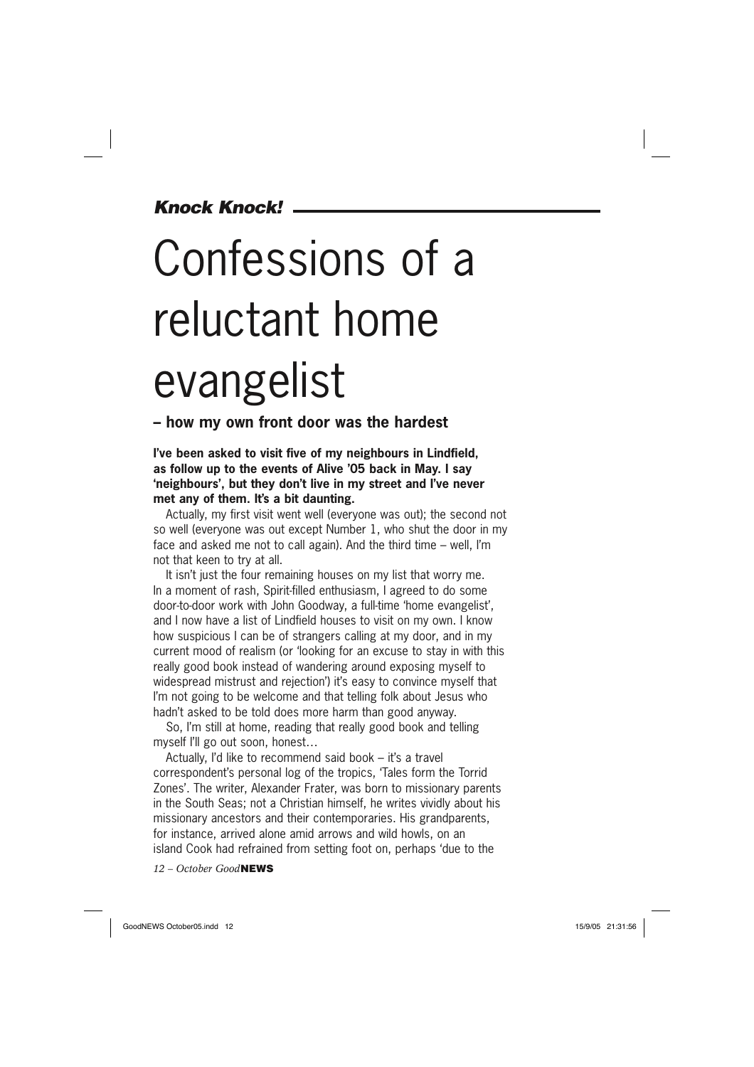### *Knock Knock!*

# Confessions of a reluctant home evangelist

### **– how my own front door was the hardest**

### **I've been asked to visit five of my neighbours in Lindfield, as follow up to the events of Alive '05 back in May. I say 'neighbours', but they don't live in my street and I've never met any of them. It's a bit daunting.**

Actually, my first visit went well (everyone was out); the second not so well (everyone was out except Number 1, who shut the door in my face and asked me not to call again). And the third time – well, I'm not that keen to try at all.

It isn't just the four remaining houses on my list that worry me. In a moment of rash, Spirit-filled enthusiasm, I agreed to do some door-to-door work with John Goodway, a full-time 'home evangelist', and I now have a list of Lindfield houses to visit on my own. I know how suspicious I can be of strangers calling at my door, and in my current mood of realism (or 'looking for an excuse to stay in with this really good book instead of wandering around exposing myself to widespread mistrust and rejection') it's easy to convince myself that I'm not going to be welcome and that telling folk about Jesus who hadn't asked to be told does more harm than good anyway.

So, I'm still at home, reading that really good book and telling myself I'll go out soon, honest…

Actually, I'd like to recommend said book – it's a travel correspondent's personal log of the tropics, 'Tales form the Torrid Zones'. The writer, Alexander Frater, was born to missionary parents in the South Seas; not a Christian himself, he writes vividly about his missionary ancestors and their contemporaries. His grandparents, for instance, arrived alone amid arrows and wild howls, on an island Cook had refrained from setting foot on, perhaps 'due to the

*12 – October Good***NEWS**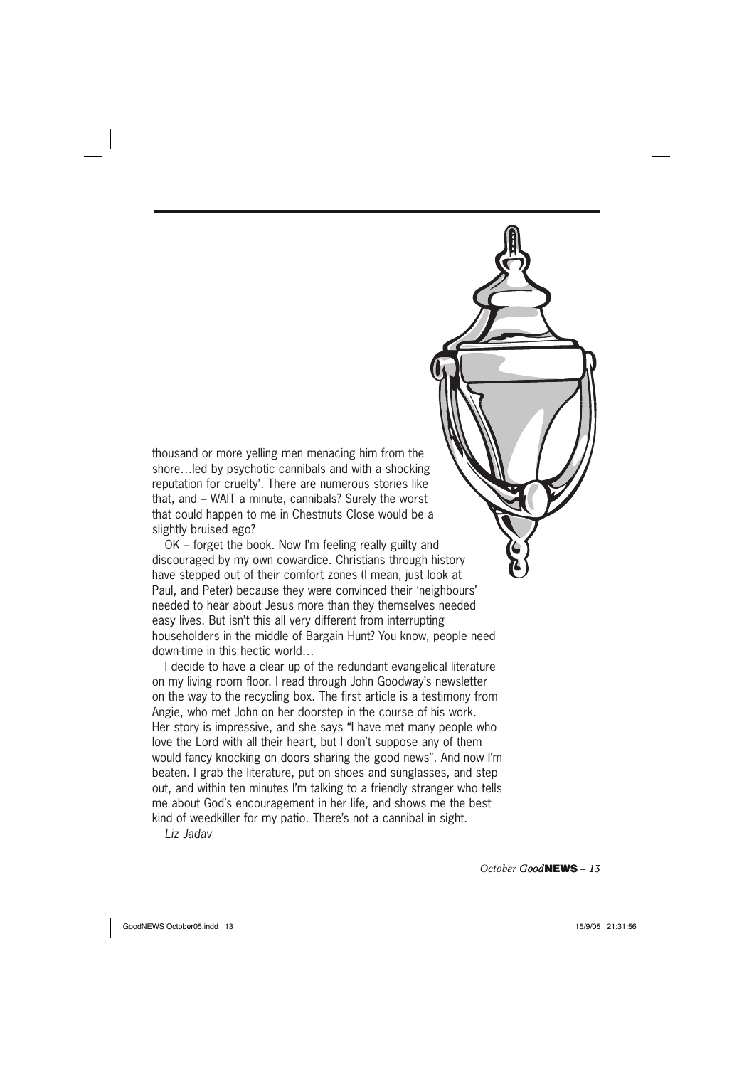thousand or more yelling men menacing him from the shore…led by psychotic cannibals and with a shocking reputation for cruelty'. There are numerous stories like that, and – WAIT a minute, cannibals? Surely the worst that could happen to me in Chestnuts Close would be a slightly bruised ego?

OK – forget the book. Now I'm feeling really guilty and discouraged by my own cowardice. Christians through history have stepped out of their comfort zones (I mean, just look at Paul, and Peter) because they were convinced their 'neighbours' needed to hear about Jesus more than they themselves needed easy lives. But isn't this all very different from interrupting householders in the middle of Bargain Hunt? You know, people need down-time in this hectic world…

I decide to have a clear up of the redundant evangelical literature on my living room floor. I read through John Goodway's newsletter on the way to the recycling box. The first article is a testimony from Angie, who met John on her doorstep in the course of his work. Her story is impressive, and she says "I have met many people who love the Lord with all their heart, but I don't suppose any of them would fancy knocking on doors sharing the good news". And now I'm beaten. I grab the literature, put on shoes and sunglasses, and step out, and within ten minutes I'm talking to a friendly stranger who tells me about God's encouragement in her life, and shows me the best kind of weedkiller for my patio. There's not a cannibal in sight.

*Liz Jadav*

*October Good***NEWS** *– 13*

GoodNEWS October05.indd 13 only 15/9/05 21:31:56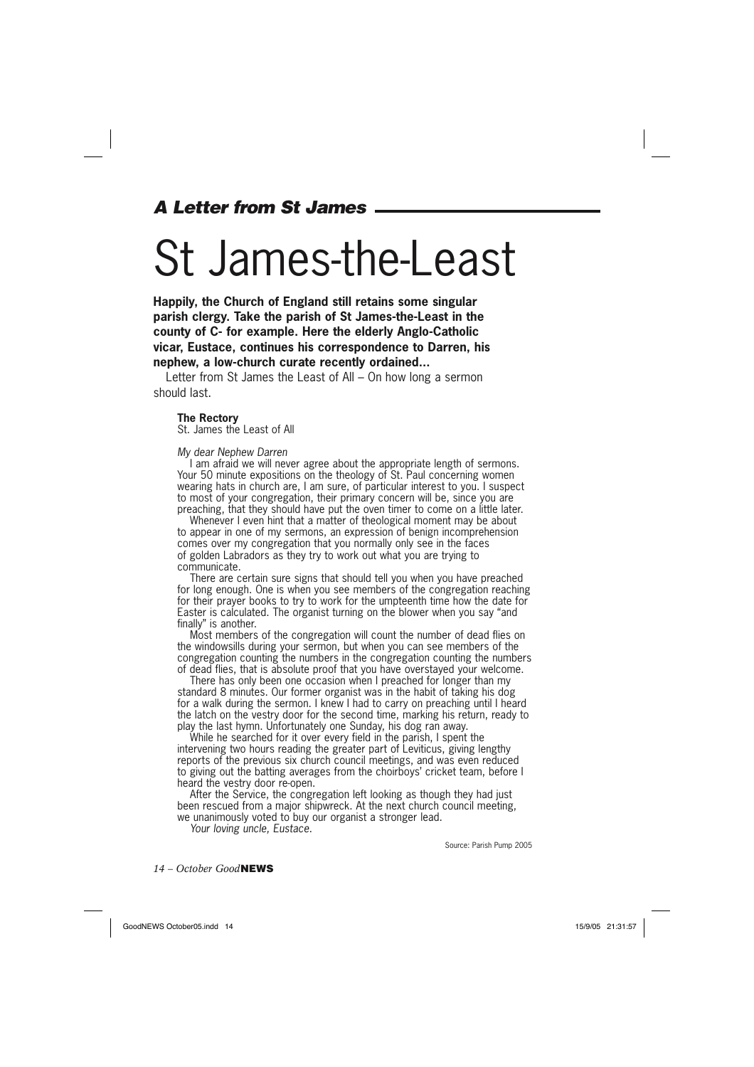### *A Letter from St James*

### St James-the-Least

**Happily, the Church of England still retains some singular parish clergy. Take the parish of St James-the-Least in the county of C- for example. Here the elderly Anglo-Catholic vicar, Eustace, continues his correspondence to Darren, his nephew, a low-church curate recently ordained...**

Letter from St James the Least of All – On how long a sermon should last.

#### **The Rectory**

St. James the Least of All

#### *My dear Nephew Darren*

I am afraid we will never agree about the appropriate length of sermons. Your 50 minute expositions on the theology of St. Paul concerning women wearing hats in church are, I am sure, of particular interest to you. I suspect to most of your congregation, their primary concern will be, since you are preaching, that they should have put the oven timer to come on a little later.

Whenever I even hint that a matter of theological moment may be about to appear in one of my sermons, an expression of benign incomprehension comes over my congregation that you normally only see in the faces of golden Labradors as they try to work out what you are trying to communicate.

There are certain sure signs that should tell you when you have preached for long enough. One is when you see members of the congregation reaching for their prayer books to try to work for the umpteenth time how the date for Easter is calculated. The organist turning on the blower when you say "and finally" is another.

Most members of the congregation will count the number of dead flies on the windowsills during your sermon, but when you can see members of the congregation counting the numbers in the congregation counting the numbers of dead flies, that is absolute proof that you have overstayed your welcome.

There has only been one occasion when I preached for longer than my standard 8 minutes. Our former organist was in the habit of taking his dog for a walk during the sermon. I knew I had to carry on preaching until I heard the latch on the vestry door for the second time, marking his return, ready to play the last hymn. Unfortunately one Sunday, his dog ran away.

While he searched for it over every field in the parish, I spent the intervening two hours reading the greater part of Leviticus, giving lengthy reports of the previous six church council meetings, and was even reduced to giving out the batting averages from the choirboys' cricket team, before I heard the vestry door re-open.

After the Service, the congregation left looking as though they had just been rescued from a major shipwreck. At the next church council meeting, we unanimously voted to buy our organist a stronger lead.

*Your loving uncle, Eustace.*

Source: Parish Pump 2005

*14 – October Good***NEWS**

GoodNEWS October05.indd 14 oodNEWS 15/9/05 21:31:57 5/9/05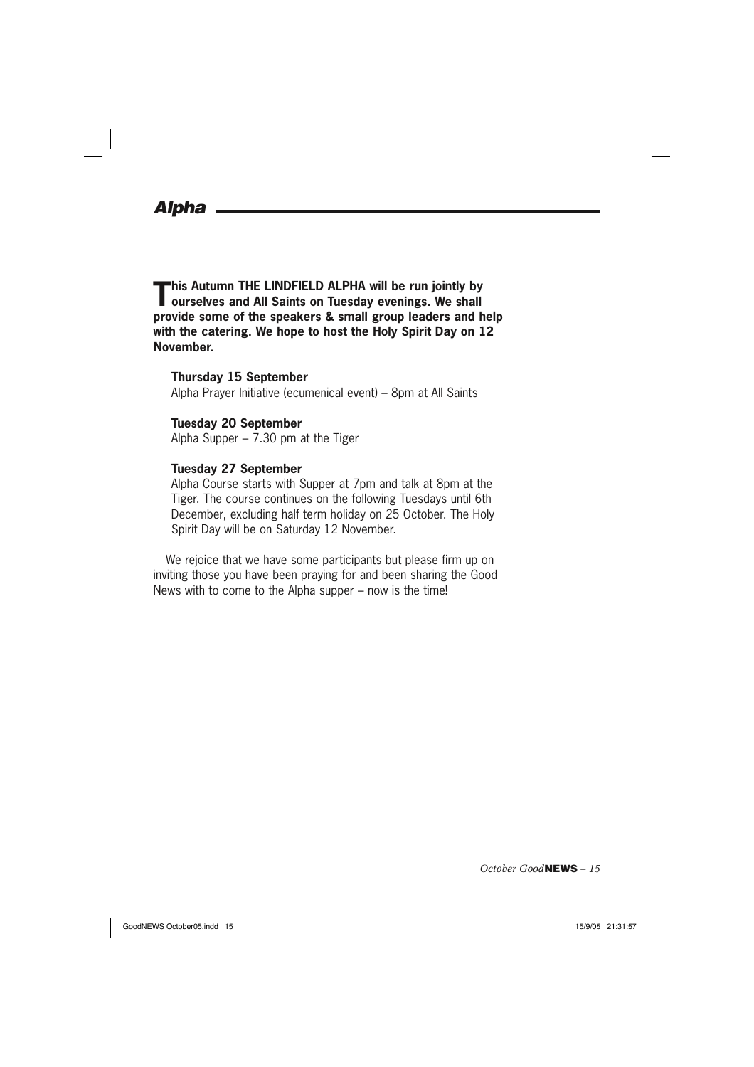### *Alpha*

**This Autumn THE LINDFIELD ALPHA will be run jointly by ourselves and All Saints on Tuesday evenings. We shall provide some of the speakers & small group leaders and help with the catering. We hope to host the Holy Spirit Day on 12 November.**

#### **Thursday 15 September**

Alpha Prayer Initiative (ecumenical event) – 8pm at All Saints

#### **Tuesday 20 September**

Alpha Supper – 7.30 pm at the Tiger

### **Tuesday 27 September**

Alpha Course starts with Supper at 7pm and talk at 8pm at the Tiger. The course continues on the following Tuesdays until 6th December, excluding half term holiday on 25 October. The Holy Spirit Day will be on Saturday 12 November.

We rejoice that we have some participants but please firm up on inviting those you have been praying for and been sharing the Good News with to come to the Alpha supper – now is the time!

*October Good***NEWS** *– 15*

GoodNEWS October05.indd 15  $\left| \begin{array}{ccc} 15/9/05 & 21:31:57 \end{array} \right|$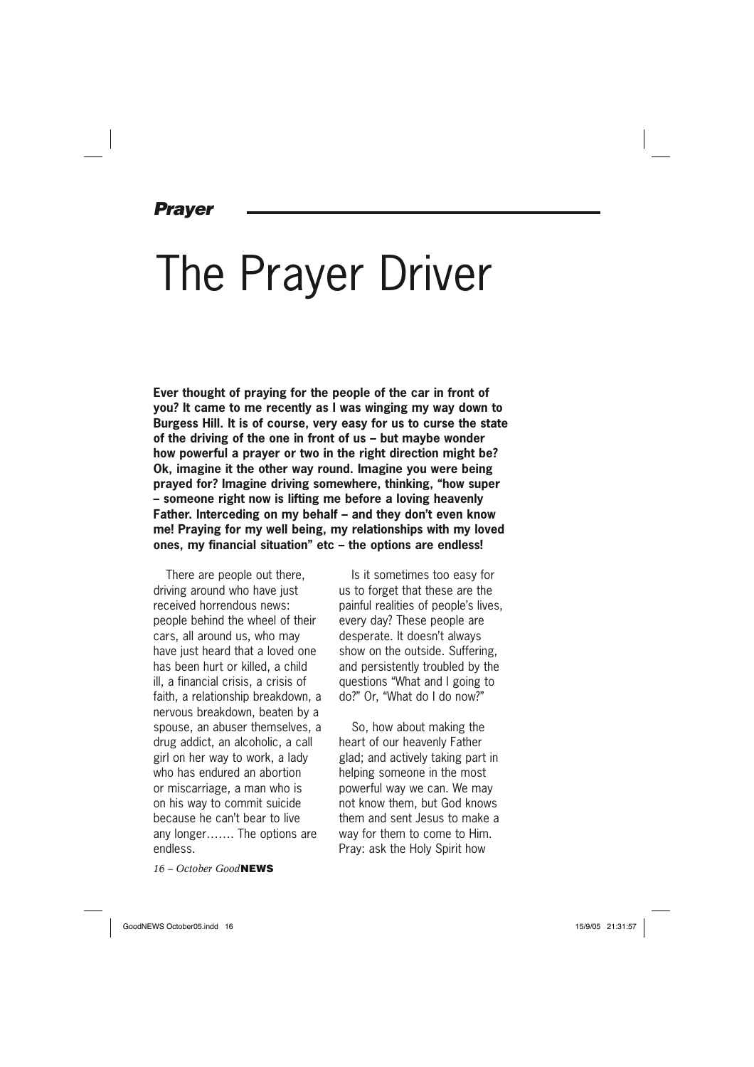### *Prayer*

### The Prayer Driver

**Ever thought of praying for the people of the car in front of you? It came to me recently as I was winging my way down to Burgess Hill. It is of course, very easy for us to curse the state of the driving of the one in front of us – but maybe wonder how powerful a prayer or two in the right direction might be? Ok, imagine it the other way round. Imagine you were being prayed for? Imagine driving somewhere, thinking, "how super – someone right now is lifting me before a loving heavenly Father. Interceding on my behalf – and they don't even know me! Praying for my well being, my relationships with my loved ones, my financial situation" etc – the options are endless!**

There are people out there, driving around who have just received horrendous news: people behind the wheel of their cars, all around us, who may have just heard that a loved one has been hurt or killed, a child ill, a financial crisis, a crisis of faith, a relationship breakdown, a nervous breakdown, beaten by a spouse, an abuser themselves, a drug addict, an alcoholic, a call girl on her way to work, a lady who has endured an abortion or miscarriage, a man who is on his way to commit suicide because he can't bear to live any longer……. The options are endless.

*16 – October Good***NEWS**

Is it sometimes too easy for us to forget that these are the painful realities of people's lives, every day? These people are desperate. It doesn't always show on the outside. Suffering, and persistently troubled by the questions "What and I going to do?" Or, "What do I do now?"

So, how about making the heart of our heavenly Father glad; and actively taking part in helping someone in the most powerful way we can. We may not know them, but God knows them and sent Jesus to make a way for them to come to Him. Pray: ask the Holy Spirit how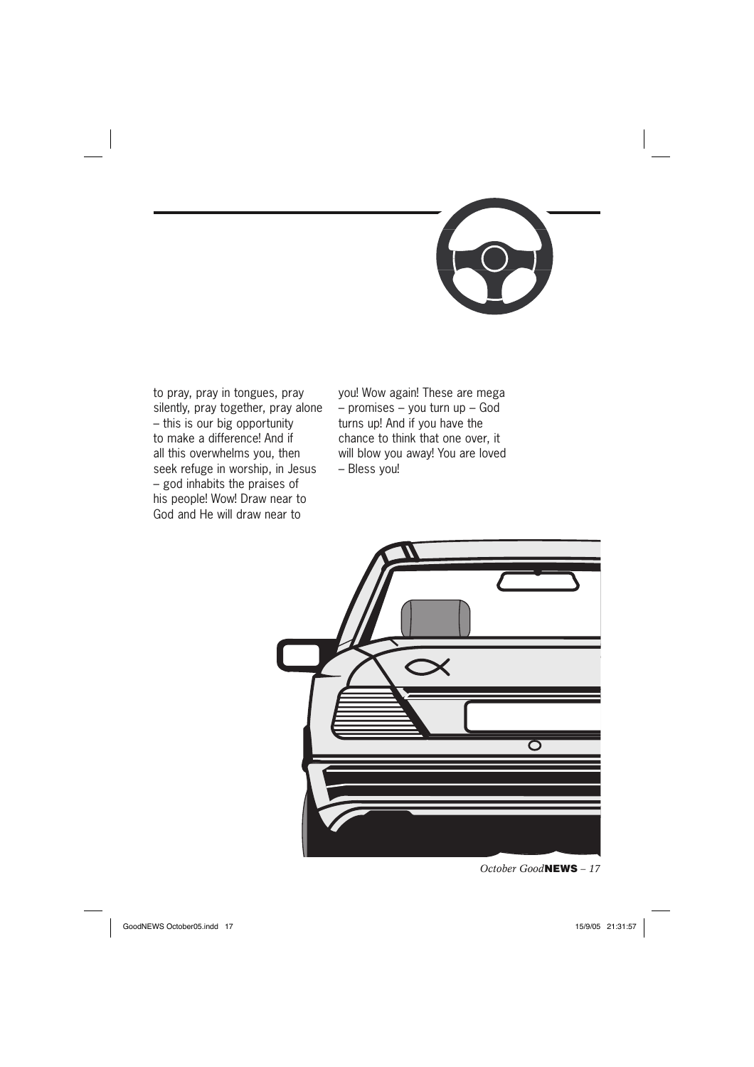

to pray, pray in tongues, pray silently, pray together, pray alone – this is our big opportunity to make a difference! And if all this overwhelms you, then seek refuge in worship, in Jesus – god inhabits the praises of his people! Wow! Draw near to God and He will draw near to

you! Wow again! These are mega – promises – you turn up – God turns up! And if you have the chance to think that one over, it will blow you away! You are loved – Bless you!



*October Good***NEWS** *– 17*

GoodNEWS October05.indd 17  $\left| \begin{array}{ccc} 15/9/05 & 21:31:57 \end{array} \right|$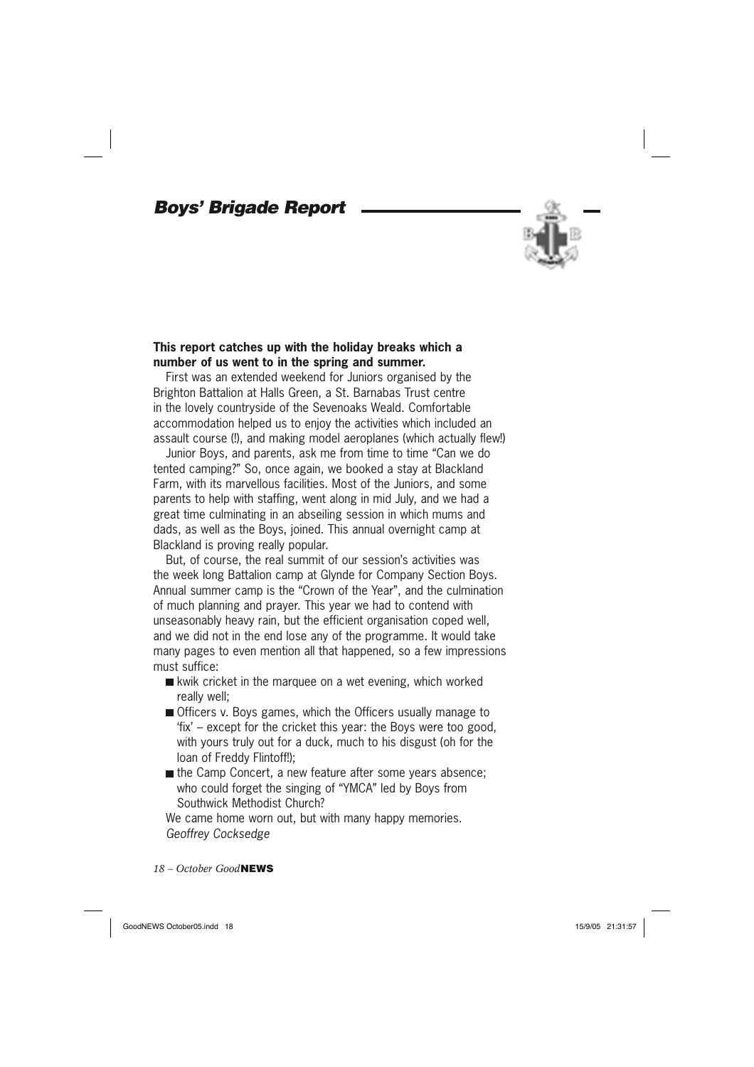### *Boys' Brigade Report*



### **This report catches up with the holiday breaks which a number of us went to in the spring and summer.**

First was an extended weekend for Juniors organised by the Brighton Battalion at Halls Green, a St. Barnabas Trust centre in the lovely countryside of the Sevenoaks Weald. Comfortable accommodation helped us to enjoy the activities which included an assault course (!), and making model aeroplanes (which actually flew!)

Junior Boys, and parents, ask me from time to time "Can we do tented camping?" So, once again, we booked a stay at Blackland Farm, with its marvellous facilities. Most of the Juniors, and some parents to help with staffing, went along in mid July, and we had a great time culminating in an abseiling session in which mums and dads, as well as the Boys, joined. This annual overnight camp at Blackland is proving really popular.

But, of course, the real summit of our session's activities was the week long Battalion camp at Glynde for Company Section Boys. Annual summer camp is the "Crown of the Year", and the culmination of much planning and prayer. This year we had to contend with unseasonably heavy rain, but the efficient organisation coped well, and we did not in the end lose any of the programme. It would take many pages to even mention all that happened, so a few impressions must suffice:

- kwik cricket in the marquee on a wet evening, which worked really well;
- Officers v. Boys games, which the Officers usually manage to 'fix' – except for the cricket this year: the Boys were too good, with yours truly out for a duck, much to his disgust (oh for the loan of Freddy Flintoff!);
- the Camp Concert, a new feature after some years absence; who could forget the singing of "YMCA" led by Boys from Southwick Methodist Church?

We came home worn out, but with many happy memories. *Geoffrey Cocksedge*

*18 – October Good***NEWS**

GoodNEWS October05.indd 18 **oodNEWS 15/9/05** 21:31:57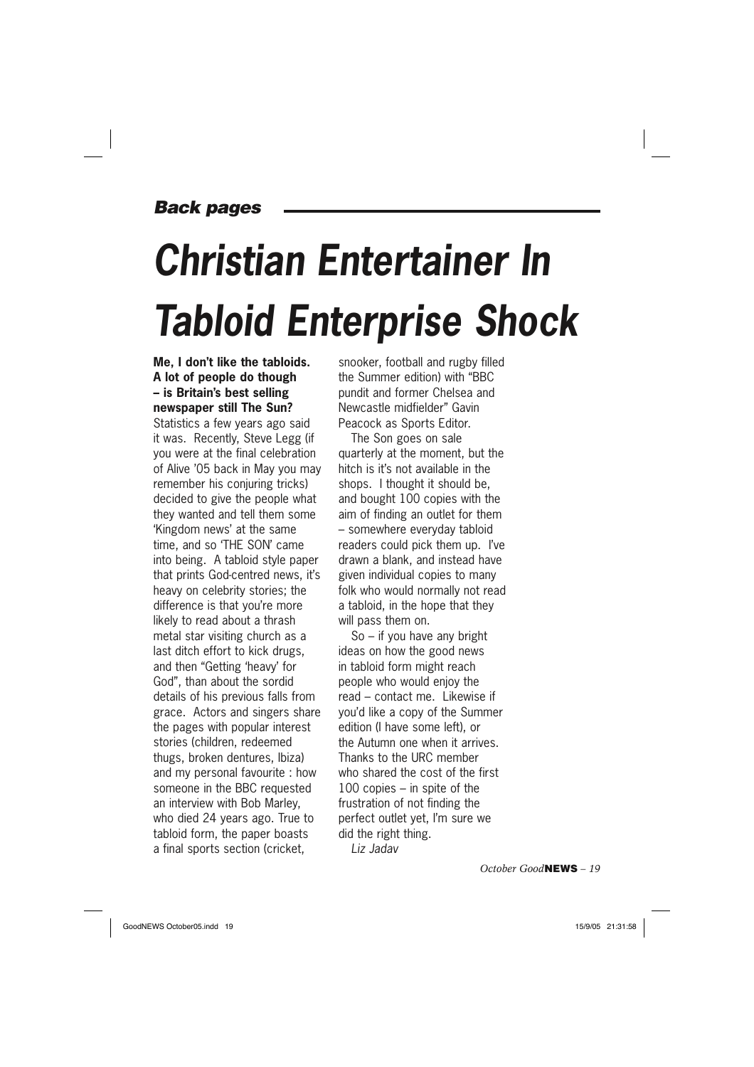### *Back pages*

# *Christian Entertainer In Tabloid Enterprise Shock*

### **Me, I don't like the tabloids. A lot of people do though – is Britain's best selling newspaper still The Sun?**

Statistics a few years ago said it was. Recently, Steve Legg (if you were at the final celebration of Alive '05 back in May you may remember his conjuring tricks) decided to give the people what they wanted and tell them some 'Kingdom news' at the same time, and so 'THE SON' came into being. A tabloid style paper that prints God-centred news, it's heavy on celebrity stories; the difference is that you're more likely to read about a thrash metal star visiting church as a last ditch effort to kick drugs, and then "Getting 'heavy' for God", than about the sordid details of his previous falls from grace. Actors and singers share the pages with popular interest stories (children, redeemed thugs, broken dentures, Ibiza) and my personal favourite : how someone in the BBC requested an interview with Bob Marley, who died 24 years ago. True to tabloid form, the paper boasts a final sports section (cricket,

snooker, football and rugby filled the Summer edition) with "BBC pundit and former Chelsea and Newcastle midfielder" Gavin Peacock as Sports Editor.

The Son goes on sale quarterly at the moment, but the hitch is it's not available in the shops. I thought it should be, and bought 100 copies with the aim of finding an outlet for them – somewhere everyday tabloid readers could pick them up. I've drawn a blank, and instead have given individual copies to many folk who would normally not read a tabloid, in the hope that they will pass them on.

So – if you have any bright ideas on how the good news in tabloid form might reach people who would enjoy the read – contact me. Likewise if you'd like a copy of the Summer edition (I have some left), or the Autumn one when it arrives. Thanks to the URC member who shared the cost of the first 100 copies – in spite of the frustration of not finding the perfect outlet yet, I'm sure we did the right thing. *Liz Jadav*

*October Good***NEWS** *– 19*